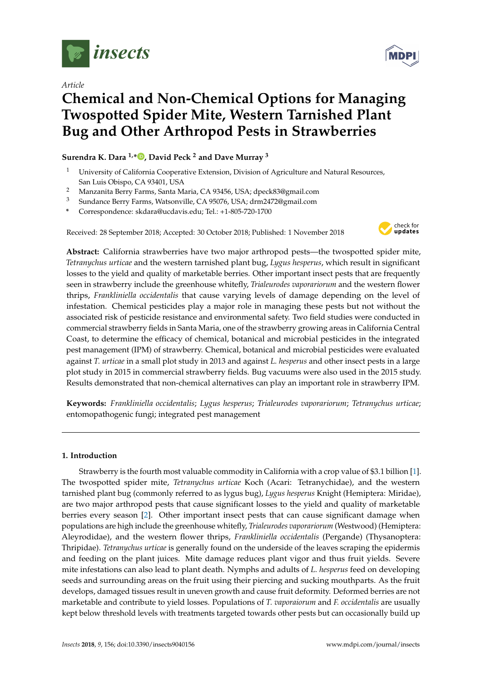

*Article*



# **Chemical and Non-Chemical Options for Managing Twospotted Spider Mite, Western Tarnished Plant Bug and Other Arthropod Pests in Strawberries**

## **Surendra K. Dara 1,\* [,](https://orcid.org/0000-0002-4542-7206) David Peck <sup>2</sup> and Dave Murray <sup>3</sup>**

- <sup>1</sup> University of California Cooperative Extension, Division of Agriculture and Natural Resources, San Luis Obispo, CA 93401, USA
- <sup>2</sup> Manzanita Berry Farms, Santa Maria, CA 93456, USA; dpeck83@gmail.com
- <sup>3</sup> Sundance Berry Farms, Watsonville, CA 95076, USA; drm2472@gmail.com
- **\*** Correspondence: skdara@ucdavis.edu; Tel.: +1-805-720-1700

Received: 28 September 2018; Accepted: 30 October 2018; Published: 1 November 2018



**Abstract:** California strawberries have two major arthropod pests—the twospotted spider mite, *Tetranychus urticae* and the western tarnished plant bug, *Lygus hesperus*, which result in significant losses to the yield and quality of marketable berries. Other important insect pests that are frequently seen in strawberry include the greenhouse whitefly, *Trialeurodes vaporariorum* and the western flower thrips, *Frankliniella occidentalis* that cause varying levels of damage depending on the level of infestation. Chemical pesticides play a major role in managing these pests but not without the associated risk of pesticide resistance and environmental safety. Two field studies were conducted in commercial strawberry fields in Santa Maria, one of the strawberry growing areas in California Central Coast, to determine the efficacy of chemical, botanical and microbial pesticides in the integrated pest management (IPM) of strawberry. Chemical, botanical and microbial pesticides were evaluated against *T. urticae* in a small plot study in 2013 and against *L. hesperus* and other insect pests in a large plot study in 2015 in commercial strawberry fields. Bug vacuums were also used in the 2015 study. Results demonstrated that non-chemical alternatives can play an important role in strawberry IPM.

**Keywords:** *Frankliniella occidentalis*; *Lygus hesperus*; *Trialeurodes vaporariorum*; *Tetranychus urticae*; entomopathogenic fungi; integrated pest management

## **1. Introduction**

Strawberry is the fourth most valuable commodity in California with a crop value of \$3.1 billion [\[1\]](#page-8-0). The twospotted spider mite, *Tetranychus urticae* Koch (Acari: Tetranychidae), and the western tarnished plant bug (commonly referred to as lygus bug), *Lygus hesperus* Knight (Hemiptera: Miridae), are two major arthropod pests that cause significant losses to the yield and quality of marketable berries every season [\[2\]](#page-8-1). Other important insect pests that can cause significant damage when populations are high include the greenhouse whitefly, *Trialeurodes vaporariorum* (Westwood) (Hemiptera: Aleyrodidae), and the western flower thrips, *Frankliniella occidentalis* (Pergande) (Thysanoptera: Thripidae). *Tetranychus urticae* is generally found on the underside of the leaves scraping the epidermis and feeding on the plant juices. Mite damage reduces plant vigor and thus fruit yields. Severe mite infestations can also lead to plant death. Nymphs and adults of *L. hesperus* feed on developing seeds and surrounding areas on the fruit using their piercing and sucking mouthparts. As the fruit develops, damaged tissues result in uneven growth and cause fruit deformity. Deformed berries are not marketable and contribute to yield losses. Populations of *T. vaporaiorum* and *F. occidentalis* are usually kept below threshold levels with treatments targeted towards other pests but can occasionally build up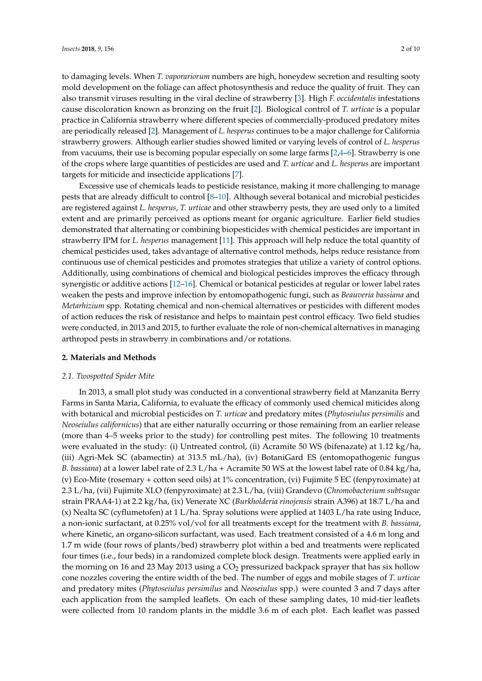to damaging levels. When *T. vaporariorum* numbers are high, honeydew secretion and resulting sooty mold development on the foliage can affect photosynthesis and reduce the quality of fruit. They can also transmit viruses resulting in the viral decline of strawberry [\[3\]](#page-8-2). High *F. occidentalis* infestations cause discoloration known as bronzing on the fruit [\[2\]](#page-8-1). Biological control of *T. urticae* is a popular practice in California strawberry where different species of commercially-produced predatory mites are periodically released [\[2\]](#page-8-1). Management of *L. hesperus* continues to be a major challenge for California strawberry growers. Although earlier studies showed limited or varying levels of control of *L. hesperus* from vacuums, their use is becoming popular especially on some large farms [\[2](#page-8-1)[,4](#page-8-3)[–6\]](#page-8-4). Strawberry is one of the crops where large quantities of pesticides are used and *T. urticae* and *L. hesperus* are important targets for miticide and insecticide applications [\[7\]](#page-8-5).

Excessive use of chemicals leads to pesticide resistance, making it more challenging to manage pests that are already difficult to control [\[8](#page-8-6)[–10\]](#page-8-7). Although several botanical and microbial pesticides are registered against *L. hesperus*, *T. urticae* and other strawberry pests, they are used only to a limited extent and are primarily perceived as options meant for organic agriculture. Earlier field studies demonstrated that alternating or combining biopesticides with chemical pesticides are important in strawberry IPM for *L. hesperus* management [\[11\]](#page-8-8). This approach will help reduce the total quantity of chemical pesticides used, takes advantage of alternative control methods, helps reduce resistance from continuous use of chemical pesticides and promotes strategies that utilize a variety of control options. Additionally, using combinations of chemical and biological pesticides improves the efficacy through synergistic or additive actions [\[12–](#page-8-9)[16\]](#page-9-0). Chemical or botanical pesticides at regular or lower label rates weaken the pests and improve infection by entomopathogenic fungi, such as *Beauveria bassiana* and *Metarhizium* spp. Rotating chemical and non-chemical alternatives or pesticides with different modes of action reduces the risk of resistance and helps to maintain pest control efficacy. Two field studies were conducted, in 2013 and 2015, to further evaluate the role of non-chemical alternatives in managing arthropod pests in strawberry in combinations and/or rotations.

## **2. Materials and Methods**

## *2.1. Twospotted Spider Mite*

In 2013, a small plot study was conducted in a conventional strawberry field at Manzanita Berry Farms in Santa Maria, California, to evaluate the efficacy of commonly used chemical miticides along with botanical and microbial pesticides on *T. urticae* and predatory mites (*Phytoseiulus persimilis* and *Neoseiulus californicus*) that are either naturally occurring or those remaining from an earlier release (more than 4–5 weeks prior to the study) for controlling pest mites. The following 10 treatments were evaluated in the study: (i) Untreated control, (ii) Acramite 50 WS (bifenazate) at 1.12 kg/ha, (iii) Agri-Mek SC (abamectin) at 313.5 mL/ha), (iv) BotaniGard ES (entomopathogenic fungus *B. bassiana*) at a lower label rate of 2.3 L/ha + Acramite 50 WS at the lowest label rate of 0.84 kg/ha, (v) Eco-Mite (rosemary + cotton seed oils) at 1% concentration, (vi) Fujimite 5 EC (fenpyroximate) at 2.3 L/ha, (vii) Fujimite XLO (fenpyroximate) at 2.3 L/ha, (viii) Grandevo (*Chromobacterium subtsugae* strain PRAA4-1) at 2.2 kg/ha, (ix) Venerate XC (*Burkholderia rinojensis* strain A396) at 18.7 L/ha and (x) Nealta SC (cyflumetofen) at 1 L/ha. Spray solutions were applied at 1403 L/ha rate using Induce, a non-ionic surfactant, at 0.25% vol/vol for all treatments except for the treatment with *B. bassiana*, where Kinetic, an organo-silicon surfactant, was used. Each treatment consisted of a 4.6 m long and 1.7 m wide (four rows of plants/bed) strawberry plot within a bed and treatments were replicated four times (i.e., four beds) in a randomized complete block design. Treatments were applied early in the morning on 16 and 23 May 2013 using a CO<sub>2</sub> pressurized backpack sprayer that has six hollow cone nozzles covering the entire width of the bed. The number of eggs and mobile stages of *T. urticae* and predatory mites (*Phytoseiulus persimilus* and *Neoseiulus* spp.) were counted 3 and 7 days after each application from the sampled leaflets. On each of these sampling dates, 10 mid-tier leaflets were collected from 10 random plants in the middle 3.6 m of each plot. Each leaflet was passed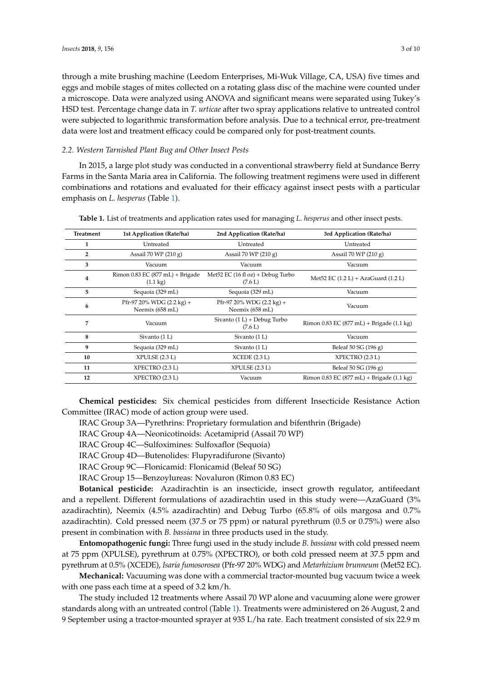through a mite brushing machine (Leedom Enterprises, Mi-Wuk Village, CA, USA) five times and eggs and mobile stages of mites collected on a rotating glass disc of the machine were counted under a microscope. Data were analyzed using ANOVA and significant means were separated using Tukey's HSD test. Percentage change data in *T. urticae* after two spray applications relative to untreated control were subjected to logarithmic transformation before analysis. Due to a technical error, pre-treatment data were lost and treatment efficacy could be compared only for post-treatment counts.

#### *2.2. Western Tarnished Plant Bug and Other Insect Pests*

In 2015, a large plot study was conducted in a conventional strawberry field at Sundance Berry Farms in the Santa Maria area in California. The following treatment regimens were used in different combinations and rotations and evaluated for their efficacy against insect pests with a particular emphasis on *L. hesperus* (Table [1\)](#page-2-0).

| <b>Treatment</b> | 1st Application (Rate/ha)                                          | 2nd Application (Rate/ha)                              | 3rd Application (Rate/ha)                                       |
|------------------|--------------------------------------------------------------------|--------------------------------------------------------|-----------------------------------------------------------------|
| 1                | Untreated                                                          | Untreated                                              | Untreated                                                       |
| $\overline{2}$   | Assail 70 WP $(210 g)$                                             | Assail 70 WP $(210 g)$                                 | Assail 70 WP $(210 g)$                                          |
| 3                | Vacuum                                                             | Vacuum                                                 | Vacuum                                                          |
| $\overline{4}$   | Rimon $0.83$ EC $(877 \text{ mL})$ + Brigade<br>$(1.1 \text{ kg})$ | Met52 EC $(16 \text{ fl oz}) +$ Debug Turbo<br>(7.6 L) | Met <sub>52</sub> EC $(1.2 L) + AzaGuard (1.2 L)$               |
| 5                | Sequoia (329 mL)                                                   | Sequoia (329 mL)                                       | Vacuum                                                          |
| 6                | Pfr-97 20% WDG (2.2 kg) +<br>Neemix (658 mL)                       | Pfr-97 20% WDG $(2.2 \text{ kg})$ +<br>Neemix (658 mL) | Vacuum                                                          |
| 7                | Vacuum                                                             | Sivanto $(1 L)$ + Debug Turbo<br>(7.6 L)               | Rimon $0.83$ EC (877 mL) + Brigade (1.1 kg)                     |
| 8                | Sivanto (1 L)                                                      | Sivanto (1 L)                                          | Vacuum                                                          |
| 9                | Sequoia (329 mL)                                                   | Sivanto (1 L)                                          | Beleaf 50 SG (196 g)                                            |
| 10               | XPULSE (2.3 L)                                                     | XCEDE(2.3 L)                                           | XPECTRO (2.3 L)                                                 |
| 11               | XPECTRO (2.3 L)                                                    | XPULSE(2.3 L)                                          | Beleaf 50 SG (196 g)                                            |
| 12               | XPECTRO (2.3 L)                                                    | Vacuum                                                 | Rimon $0.83$ EC $(877 \text{ mL}) +$ Brigade $(1.1 \text{ kg})$ |

<span id="page-2-0"></span>**Table 1.** List of treatments and application rates used for managing *L. hesperus* and other insect pests.

**Chemical pesticides:** Six chemical pesticides from different Insecticide Resistance Action Committee (IRAC) mode of action group were used.

IRAC Group 3A—Pyrethrins: Proprietary formulation and bifenthrin (Brigade)

IRAC Group 4A—Neonicotinoids: Acetamiprid (Assail 70 WP)

IRAC Group 4C—Sulfoximines: Sulfoxaflor (Sequoia)

IRAC Group 4D—Butenolides: Flupyradifurone (Sivanto)

IRAC Group 9C—Flonicamid: Flonicamid (Beleaf 50 SG)

IRAC Group 15—Benzoylureas: Novaluron (Rimon 0.83 EC)

**Botanical pesticide:** Azadirachtin is an insecticide, insect growth regulator, antifeedant and a repellent. Different formulations of azadirachtin used in this study were—AzaGuard (3% azadirachtin), Neemix (4.5% azadirachtin) and Debug Turbo (65.8% of oils margosa and 0.7% azadirachtin). Cold pressed neem (37.5 or 75 ppm) or natural pyrethrum (0.5 or 0.75%) were also present in combination with *B. bassiana* in three products used in the study.

**Entomopathogenic fungi:** Three fungi used in the study include *B. bassiana* with cold pressed neem at 75 ppm (XPULSE), pyrethrum at 0.75% (XPECTRO), or both cold pressed neem at 37.5 ppm and pyrethrum at 0.5% (XCEDE), *Isaria fumosorosea* (Pfr-97 20% WDG) and *Metarhizium brunneum* (Met52 EC).

**Mechanical:** Vacuuming was done with a commercial tractor-mounted bug vacuum twice a week with one pass each time at a speed of 3.2 km/h.

The study included 12 treatments where Assail 70 WP alone and vacuuming alone were grower standards along with an untreated control (Table [1\)](#page-2-0). Treatments were administered on 26 August, 2 and 9 September using a tractor-mounted sprayer at 935 L/ha rate. Each treatment consisted of six 22.9 m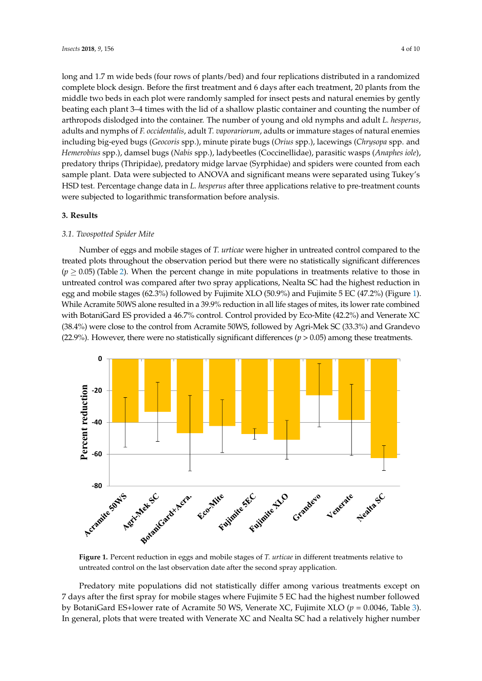long and 1.7 m wide beds (four rows of plants/bed) and four replications distributed in a randomized complete block design. Before the first treatment and 6 days after each treatment, 20 plants from the middle two beds in each plot were randomly sampled for insect pests and natural enemies by gently *Insects* **2018**, *9*, x FOR PEER REVIEW 4 of 11 beating each plant 3–4 times with the lid of a shallow plastic container and counting the number of arthropods dislodged into the container. The number of young and old nymphs and adult *L. hesperus*, arthropods dislodged into the container. The number of young and old nymphs and adult *L. hesperus*, adults and nymphs of F. occidentalis, adult T. vaporariorum, adults or immature stages of natural enemies including big-eyed bugs (Geocoris spp.), minute pirate bugs (Orius spp.), lacewings (Chrysopa spp. and Hemerobius spp.), damsel bugs (Nabis spp.), ladybeetles (Coccinellidae), parasitic wasps (Anaphes iole), predatory thrips (Thripidae), predatory midge larvae (Syrphidae) and spiders were counted from each<br>expansion of the District of ANOVA and significant means were separated using Tukey's Tukey's Separated using sample plant. Data were subjected to ANOVA and significant means were separated using Tukey's<br>-----HSD test. Percentage change data in *L. hesperus* after three applications relative to pre-treatment counts were subjected to logarithmic transformation before analysis.  $\rho$ ries de de predatory thropidae), predatory middel exemples were connected from each  $\rho$ 

#### **3. Results 3. Results**

## *3.1. Twospotted Spider Mite 3.1. Twospotted Spider Mite*

Number of eggs and mobile stages of *T. urticae* were higher in untreated control compared to the treated plots throughout the observation period but there were no statistically significant differences  $\,$  $(p \ge 0.05)$  (Table [2\)](#page-5-0). When the percent change in mite populations in treatments relative to those in untreated control was compared after two spray applications, Nealta SC had the highest reduction in egg and mobile stages (62.3%) followed by Fujimite XLO (50.9%) and Fujimite 5 EC (47.2%) (Figure [1\)](#page-3-0). While Acramite 50WS alone resulted in a 39.9% reduction in all life stages of mites, its lower rate combined with BotaniGard ES provided a 46.7% control. Control provided by Eco-Mite (42.2%) and Venerate XC (38.4%) were close to the control from Acramite 50WS, followed by Agri-Mek SC (33.3%) and Grandevo (22.9%). However, there were no statistically significant differences (*p* > 0.05) among these treatments. (*p* > 0.05) among these treatments. Number of eggs and mobile stages of *T. urticae* were higher in untreated control compared to trumber of eggs and mobile stages of T. *uttidie* were nigher in untreated control compared to

<span id="page-3-0"></span>

**Figure 1.** Percent reduction in eggs and mobile stages of T. *urticae* in different treatments relative to untreated control on the last observation date after the second spray application. untreated control on the last observation date after the second spray application.

Predatory mite populations did not statistically differ among various treatments except on 7 and 7 and 7 and 7 and 7 and 7 and 7 and 7 and 7 and 7 and 7 and 7 and 7 and 7 and 7 and 7 and 7 and 7 and 7 and 7 and 7 and 7 and days after the first spray for mobile stages where Fujimite 5 EC had the highest number followed by 7 days after the first spray for mobile stages where Fujimite 5 EC had the highest number followed by BotaniGard ES+lower rate of Acramite 50 WS, Venerate XC, Fujimite XLO ( $p = 0.0046$ , Table [3\)](#page-5-1). In general, plots that were treated with Venerate XC and Nealta SC had a relatively higher number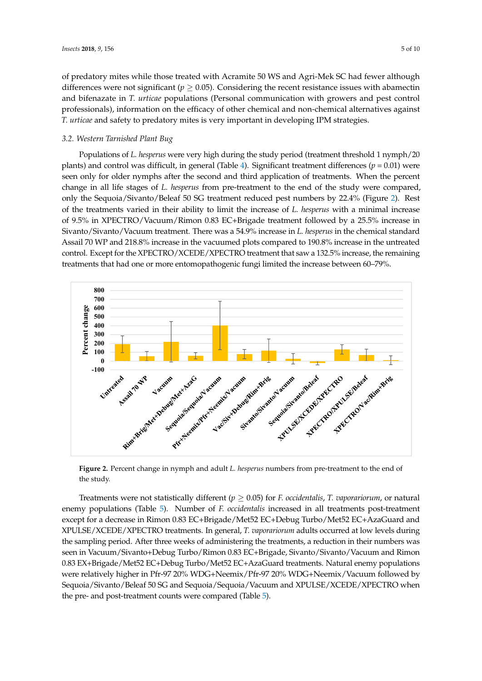of predatory mites while those treated with Acramite 50 WS and Agri-Mek SC had fewer although differences were not significant ( $p \geq 0.05$ ). Considering the recent resistance issues with abamectin and bifenazate in *T. urticae* populations (Personal communication with growers and pest control professionals), information on the efficacy of other chemical and non-chemical alternatives against *T. urticae* and safety to predatory mites is very important in developing IPM strategies.

## *3.2. Western Tarnished Plant Bug*

Populations of *L. hesperus* were very high during the study period (treatment threshold 1 nymph/20 plants) and control was difficult, in general (Table 4). Significant treatment differences ( $p = 0.01$ ) were seen only for older nymphs after the second and third application of treatments. When the percent change in all life stages of *L. hesperus* from pre-treatment to the end of the study were compared, only the Sequoia/Sivanto/Beleaf 50 SG treatment reduced pest numbers by 22.4% (Figure [2\)](#page-4-0). Rest of the treatments varied in their ability to limit the increase of *L. hesperus* with a minimal increase of 9.5% in XPECTRO/Vacuum/Rimon 0.83 EC+Brigade treatment followed by a 25.5% increase in Sivanto/Sivanto/Vacuum treatment. There was a 54.9% increase in *L. hesperus* in the chemical standard Assail 70 WP and 218.8% increase in the vacuumed plots compared to 190.8% increase in the untreated Figure 1.1 WP and 2188% increase in the Vacuumed plots compared to 1988% increase in the untreated<br>
Another control. Except for the XPECTRO/XCEDE/XPECTRO treatment that saw a 132.5% increase, the remaining treatments that had one or more entomopathogenic fungi limited the increase between 60–79%. treatments that had one or more entomopathogenic fungi limited the increase between 60–79%. control. Except for the XPECTRO/XCEDE/XPECTRO treatment that saw a 132.5% increase, the remaining

<span id="page-4-0"></span>

**Figure 2.** Percent change in nymph and adult *L. hesperus* numbers from pre-treatment to the end of **Figure 2.** Percent change in nymph and adult *L. hesperus* numbers from pre-treatment to the end of the study. the study.

Treatments were not statistically different ( $p \geq 0.05$ ) for *F. occidentalis, T. vaporariorum,* or natural enemy populations (Table 5). Number of *F. occidentalis* increased in all treatments post-treatment enemy populations (Table [5\)](#page-6-1). Number of *F. occidentalis* increased in all treatments post-treatment except for a decrease in Rimon 0.83 EC+Brigade/Met52 EC+Debug Turbo/Met52 EC+AzaGuard and except for a decrease in Rimon 0.83 EC+Brigade/Met52 EC+Debug Turbo/Met52 EC+AzaGuard and XPULSE/XCEDE/XPECTRO treatments. In general, *T. vaporariorum* adults occurred at low levels XPULSE/XCEDE/XPECTRO treatments. In general, *T. vaporariorum* adults occurred at low levels during the sampling period. After three weeks of administering the treatments, a reduction in their numbers was seen in Vacuum/Sivanto+Debug Turbo/Rimon 0.83 EC+Brigade, Sivanto/Sivanto/Vacuum and Rimon Sivanto/Sivanto/Vacuum and Rimon 0.83 EX+Brigade/Met52 EC+Debug Turbo/Met52 EC+AzaGuard 0.83 EX+Brigade/Met52 EC+Debug Turbo/Met52 EC+AzaGuard treatments. Natural enemy populations  $t_{\text{tot}}$  and  $t_{\text{tot}}$  and  $t_{\text{tot}}$  and  $t_{\text{tot}}$  and  $t_{\text{tot}}$  and  $t_{\text{tot}}$  and  $t_{\text{tot}}$  and  $t_{\text{tot}}$  and  $t_{\text{tot}}$  and  $t_{\text{tot}}$  and  $t_{\text{tot}}$  and  $t_{\text{tot}}$  and  $t_{\text{tot}}$  and  $t_{\text{tot}}$  and  $t_{\text{tot}}$  and  $t_{\text{tot}}$  a were relatively higher in Pfr-97 20% WDG+Neemix/Pfr-97 20% WDG+Neemix/Vacuum followed by Sequoia/Sivanto/Beleaf 50 SG and Sequoia/Sequoia/Vacuum and XPULSE/XCEDE/XPECTRO when the pre- and post-treatment counts were compared (Table [5\)](#page-6-1).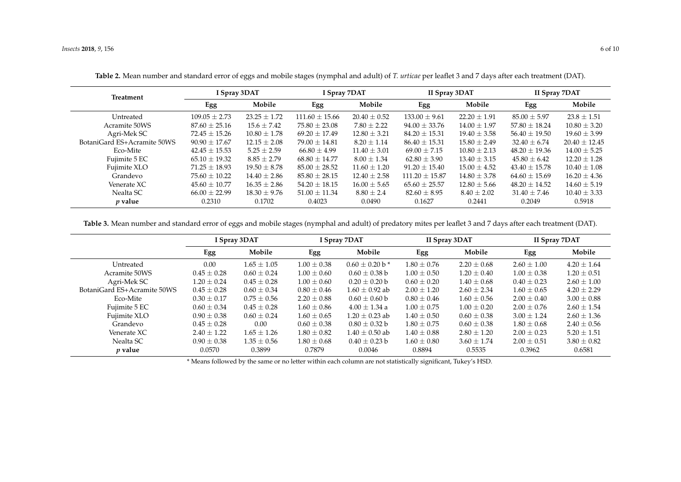| <b>Treatment</b>            |                   | I Spray 3DAT     | I Spray 7DAT       |                  | II Spray 3DAT      |                  | II Spray 7DAT     |                   |  |
|-----------------------------|-------------------|------------------|--------------------|------------------|--------------------|------------------|-------------------|-------------------|--|
|                             | Egg               | Mobile           | Egg                | Mobile           | Egg                | Mobile           | Egg               | Mobile            |  |
| Untreated                   | $109.05 \pm 2.73$ | $23.25 + 1.72$   | $111.60 \pm 15.66$ | $20.40 \pm 0.52$ | $133.00 \pm 9.61$  | $22.20 \pm 1.91$ | $85.00 \pm 5.97$  | $23.8 \pm 1.51$   |  |
| Acramite 50WS               | $87.60 \pm 25.16$ | $15.6 \pm 7.42$  | $75.80 \pm 23.08$  | $7.80 \pm 2.22$  | $94.00 \pm 33.76$  | $14.00 + 1.97$   | $57.80 \pm 18.24$ | $10.80 \pm 3.20$  |  |
| Agri-Mek SC                 | $72.45 \pm 15.26$ | $10.80 \pm 1.78$ | $69.20 \pm 17.49$  | $12.80 \pm 3.21$ | $84.20 \pm 15.31$  | $19.40 \pm 3.58$ | $56.40 \pm 19.50$ | $19.60 \pm 3.99$  |  |
| BotaniGard ES+Acramite 50WS | $90.90 + 17.67$   | $12.15 + 2.08$   | $79.00 + 14.81$    | $8.20 + 1.14$    | $86.40 + 15.31$    | $15.80 + 2.49$   | $32.40 + 6.74$    | $20.40 \pm 12.45$ |  |
| Eco-Mite                    | $42.45 \pm 15.53$ | $5.25 \pm 2.59$  | $66.80 \pm 4.99$   | $11.40 \pm 3.01$ | $69.00 \pm 7.15$   | $10.80 \pm 2.13$ | $48.20 \pm 19.36$ | $14.00 \pm 5.25$  |  |
| Fujimite 5 EC               | $65.10 \pm 19.32$ | $8.85 + 2.79$    | $68.80 + 14.77$    | $8.00 + 1.34$    | $62.80 + 3.90$     | $13.40 + 3.15$   | $45.80 \pm 6.42$  | $12.20 + 1.28$    |  |
| Fujimite XLO                | $71.25 \pm 18.93$ | $19.50 \pm 8.78$ | $85.00 \pm 28.52$  | $11.60 \pm 1.20$ | $91.20 \pm 15.40$  | $15.00 + 4.52$   | $43.40 \pm 15.78$ | $10.40 \pm 1.08$  |  |
| Grandevo                    | $75.60 + 10.22$   | $14.40 + 2.86$   | $85.80 + 28.15$    | $12.40 \pm 2.58$ | $111.20 \pm 15.87$ | $14.80 + 3.78$   | $64.60 \pm 15.69$ | $16.20 \pm 4.36$  |  |
| Venerate XC                 | $45.60 \pm 10.77$ | $16.35 \pm 2.86$ | $54.20 \pm 18.15$  | $16.00 \pm 5.65$ | $65.60 \pm 25.57$  | $12.80 \pm 5.66$ | $48.20 \pm 14.52$ | $14.60 \pm 5.19$  |  |
| Nealta SC                   | $66.00 + 22.99$   | $18.30 + 9.76$   | $51.00 + 11.34$    | $8.80 \pm 2.4$   | $82.60 + 8.95$     | $8.40 + 2.02$    | $31.40 \pm 7.46$  | $10.40 \pm 3.33$  |  |
| $p$ value                   | 0.2310            | 0.1702           | 0.4023             | 0.0490           | 0.1627             | 0.2441           | 0.2049            | 0.5918            |  |

**Table 2.** Mean number and standard error of eggs and mobile stages (nymphal and adult) of *T. urticae* per leaflet 3 and 7 days after each treatment (DAT).

**Table 3.** Mean number and standard error of eggs and mobile stages (nymphal and adult) of predatory mites per leaflet 3 and 7 days after each treatment (DAT).

<span id="page-5-0"></span>

|                             | I Spray 3DAT    |                 |                 | I Spray 7DAT                   |                 | II Spray 3DAT   | II Spray 7DAT   |                 |  |
|-----------------------------|-----------------|-----------------|-----------------|--------------------------------|-----------------|-----------------|-----------------|-----------------|--|
|                             | Egg             | Mobile          | Egg             | Mobile                         | Egg             | Mobile          | Egg             | Mobile          |  |
| Untreated                   | 0.00            | $1.65 \pm 1.05$ | $1.00 \pm 0.38$ | $0.60 \pm 0.20$ b <sup>*</sup> | $1.80 \pm 0.76$ | $2.20 \pm 0.68$ | $2.60 \pm 1.00$ | $4.20 + 1.64$   |  |
| Acramite 50WS               | $0.45 \pm 0.28$ | $0.60 \pm 0.24$ | $1.00 \pm 0.60$ | $0.60 \pm 0.38$ b              | $1.00 \pm 0.50$ | $1.20 \pm 0.40$ | $1.00 \pm 0.38$ | $1.20 \pm 0.51$ |  |
| Agri-Mek SC                 | $1.20 \pm 0.24$ | $0.45 \pm 0.28$ | $1.00 \pm 0.60$ | $0.20 \pm 0.20$ b              | $0.60 \pm 0.20$ | $1.40 \pm 0.68$ | $0.40 \pm 0.23$ | $2.60 \pm 1.00$ |  |
| BotaniGard ES+Acramite 50WS | $0.45 \pm 0.28$ | $0.60 \pm 0.34$ | $0.80 \pm 0.46$ | $1.60 \pm 0.92$ ab             | $2.00 \pm 1.20$ | $2.60 \pm 2.34$ | $1.60 \pm 0.65$ | $4.20 \pm 2.29$ |  |
| Eco-Mite                    | $0.30 \pm 0.17$ | $0.75 \pm 0.56$ | $2.20 \pm 0.88$ | $0.60 \pm 0.60$ b              | $0.80 \pm 0.46$ | $1.60 \pm 0.56$ | $2.00 \pm 0.40$ | $3.00 \pm 0.88$ |  |
| Fujimite 5 EC               | $0.60 \pm 0.34$ | $0.45 \pm 0.28$ | $1.60 \pm 0.86$ | $4.00 \pm 1.34$ a              | $1.00 \pm 0.75$ | $1.00 \pm 0.20$ | $2.00 \pm 0.76$ | $2.60 \pm 1.54$ |  |
| Fujimite XLO                | $0.90 \pm 0.38$ | $0.60 \pm 0.24$ | $1.60 \pm 0.65$ | $1.20 \pm 0.23$ ab             | $1.40 \pm 0.50$ | $0.60 \pm 0.38$ | $3.00 \pm 1.24$ | $2.60 \pm 1.36$ |  |
| Grandevo                    | $0.45 \pm 0.28$ | 0.00            | $0.60 \pm 0.38$ | $0.80 \pm 0.32 b$              | $1.80 + 0.75$   | $0.60 \pm 0.38$ | $1.80 \pm 0.68$ | $2.40 \pm 0.56$ |  |
| Venerate XC                 | $2.40 \pm 1.22$ | $1.65 \pm 1.26$ | $1.80 \pm 0.82$ | $1.40 \pm 0.50$ ab             | $1.40 \pm 0.88$ | $2.80 \pm 1.20$ | $2.00 \pm 0.23$ | $5.20 \pm 1.51$ |  |
| Nealta SC                   | $0.90 \pm 0.38$ | $1.35 \pm 0.56$ | $1.80 \pm 0.68$ | $0.40 \pm 0.23 b$              | $1.60 \pm 0.80$ | $3.60 \pm 1.74$ | $2.00 \pm 0.51$ | $3.80 \pm 0.82$ |  |
| $p$ value                   | 0.0570          | 0.3899          | 0.7879          | 0.0046                         | 0.8894          | 0.5535          | 0.3962          | 0.6581          |  |

<span id="page-5-1"></span>\* Means followed by the same or no letter within each column are not statistically significant, Tukey's HSD.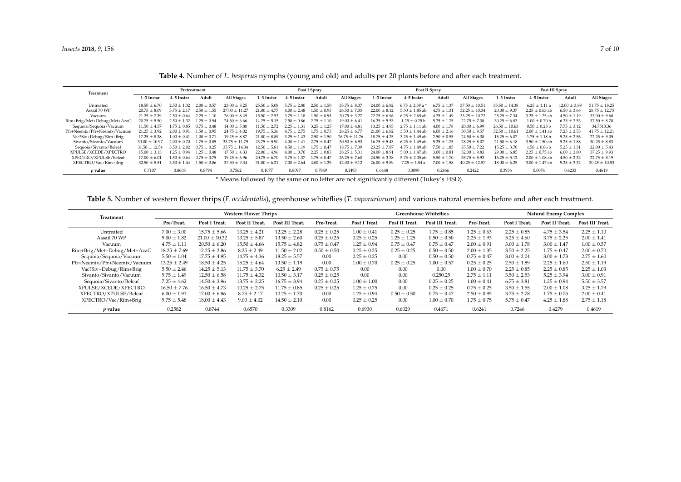| Treatment                    | Pretreatment      |                 |                 | Post I Spray      |                  |                  | Post II Spray   |                   |                     |                     | Post III Spray   |                   |                   |                    |                  |                   |
|------------------------------|-------------------|-----------------|-----------------|-------------------|------------------|------------------|-----------------|-------------------|---------------------|---------------------|------------------|-------------------|-------------------|--------------------|------------------|-------------------|
|                              | 1-3 Instar        | 4–5 Instar      | Adult           | <b>All Stages</b> | 1-3 Instar       | 4–5 Instar       | Adult           | All Stages        | 1-3 Instar          | 4-5 Instar          | Adult            | All Stages        | 1-3 Instar        | 4-5 Instar         | Adult            | <b>All Stages</b> |
| Untreated                    | $18.50 \pm 6.70$  | $2.50 + 1.32$   | $2.00 + 0.57$   | $23.00 \pm 8.25$  | $25.50 + 5.08$   | $5.75 + 2.80$    | $2.50 \pm 1.50$ | $33.75 \pm 8.37$  | $24.00 \pm 6.82$    | $6.75 + 2.39$ a *   | $6.75 +$<br>1.37 | $37.50 \pm 10.51$ | $33.50 + 14.38$   | $6.25 \pm 1.11$ a  | $12.00 \pm 3.89$ | $51.75 \pm 18.25$ |
| Assail 70 WP                 | $20.75 \pm 8.09$  | $375 + 217$     | $2.50 + 1.55$   | $+11.27$<br>27.00 | $21.00 + 4.77$   | $4.00 + 2.48$    | $1.50 + 0.95$   | $26.50 + 7.35$    | $22.00 \pm 8.12$    | $5.50 + 1.85$ ab    | $4.75 +$<br>1.31 | $32.25 \pm 10.34$ | $20.00 \pm 9.37$  | $2.25 \pm 0.63$ ab | $6.50 \pm 3.66$  | $28.75 \pm 12.75$ |
| Vacuum                       | $21.25 \pm 7.39$  | $2.50 + 0.64$   | $2.25 + 1.10$   | $26.00 \pm 8.45$  | $15.50 + 2.53$   | $3.75 + 1.18$    | $1.50 \pm 0.95$ | $20.75 + 3.27$    | $22.75 \pm 6.96$    | $6.25 \pm 2.65$ ab  | $4.25 + 1.49$    | $33.25 + 10.72$   | $25.25 + 7.34$    | $3.25 + 1.25$ ab   | $4.50 + 1.19$    | $33.00 \pm 9.60$  |
| Rim+Brig/Met+Debug/Met+AzaG  | $20.75 \pm 5.50$  | $2.50 + 1.32$   | $1.25 + 0.94$   | $24.50 \pm 6.66$  | $14.25 + 5.15$   | $2.50 \pm 0.86$  | $2.25 \pm 1.10$ | $19.00 \pm 6.41$  | $16.25 \pm 5.53$    | $1.25 + 0.25$ h     | $5.25 \pm 1.75$  | $22.75 \pm 7.38$  | $30.25 + 6.83$    | $1.00 \pm 0.70$ b  | $6.25 \pm 2.53$  | $37.50 \pm 8.70$  |
| Sequoia/Sequoia/Vacuum       | $11.50 \pm 4.57$  | $.75 + 0.85$    | $0.75 \pm 0.48$ | $14.00 \pm 5.80$  | $11.50 + 2.72$   | $2.25 + 1.31$    | $3.25 \pm 1.25$ | $17.00 \pm 4.81$  | $13.25 \pm 4.95$    | $+1.11$ ab<br>2.75  | $4.00 + 1.78$    | $20.00 \pm 6.99$  | $26.50 \pm 10.63$ | $0.50 + 0.28$ b    | $7.75 \pm 3.12$  | 34.7513.36        |
| Pfr+Neemix/Pfr+Neemix/Vacuum | $21.25 + 3.92$    | 200+091         | $1.50 + 0.95$   | $24.75 \pm 4.02$  | $19.75 \pm 5.36$ | $475 + 275$      | $175 + 0.75$    | $26.25 + 6.77$    | $21.00 + 6.82$      | $3.50 + 1.44$ ab    | $6.00 + 2.16$    | $30.50 + 9.57$    | $32.50 + 10.61$   | $2.00 + 1.41$ ab   | $7.25 \pm 2.53$  | $41.75 \pm 12.21$ |
| Vac?Siv+Debug/Rim+Brig       | $17.25 \pm 8.38$  | $1.00 + 0.41$   | $1.00 + 0.71$   | $19.25 \pm 8.87$  | $21.00 + 8.89$   | $3.25 + 1.43$    | $2.50 \pm 1.50$ | $26.75 \pm 11.76$ | $18.75 \pm 4.25$    | $3.25 + 1.49$ ab    | $2.50 \pm 0.95$  | $24.50 \pm 6.38$  | $15.25 \pm 6.07$  | $1.75 \pm 1.18$ b  | $5.25 \pm 2.56$  | $22.25 \pm 9.05$  |
| Sivanto/Sivanto/Vacuum       | $30.00 \pm 10.97$ | 0.70<br>$200 +$ | $1.75 + 0.85$   | $33.75 + 11.79$   | $23.75 \pm 5.90$ | $4.00 + 1.41$    | $2.75 \pm 0.47$ | $30.50 \pm 6.93$  | $16.75 \pm 5.43$    | $6.25 \pm 1.49$ ab  | $5.25 \pm 1.75$  | $28.25 \pm 8.07$  | $21.50 \pm 6.18$  | $3.50 + 1.50$ ab   | $5.25 \pm 1.88$  | $30.25 \pm 8.83$  |
| Sequoia/Sivanto/Beleaf       | $31.50 \pm 12.54$ | 2.02            | $0.75 + 0.25$   | $35.75 + 14.34$   | $12.50 + 5.81$   | $4.50 + 1.19$    | $1.75 \pm 0.47$ | $18.75 + 7.39$    | $23.25 \pm 7.87$    | $4.75 \pm 1.49$ ab  | $7.50 + 1.85$    | $35.50 \pm 7.22$  | $15.25 \pm 3.70$  | $.50 + 0.86$ b     | $5.25 \pm 1.31$  | $22.00 \pm 5.43$  |
| XPULSE/XCEDE/XPECTRO         | $15.00 \pm 3.13$  | $.25 + 0.94$    | $1.25 + 0.48$   | $17.50 + 4.33$    | $22.00 + 4.96$   | 0.70<br>$4.00 +$ | $2.25 \pm 0.85$ | $28.25 \pm 5.31$  | $24.00 + 8.91$      | $5.00 + 1.47$ ab    | $3.00 + 0.81$    | $32.00 \pm 9.83$  | $29.00 + 6.85$    | $2.25 + 0.75$ ab   | $6.00 \pm 2.80$  | $37.25 \pm 9.93$  |
| XPECTRO/XPULSE/Beleaf        | $17.00 + 6.01$    |                 | $0.75 + 0.75$   | $19.25 \pm 6.96$  | $20.75 + 6.70$   | $3.75 + 1.37$    | $1.75 + 0.47$   | $2625 + 760$      | 3.38<br>$24.50 + 1$ | 5.75<br>$+2.05$ ab  | $5.50 + 1.70$    | $35.75 \pm 5.93$  | $16.25 + 5.12$    | $2.00 + 1.08$ ab   | $4.50 + 2.32$    | $22.75 \pm 8.19$  |
| XPECTRO/Vac/Rim+Brig         | $32.50 \pm 8.51$  | $3.50 + 1.44$   | $1.50 + 0.86$   | $37.50 + 9.34$    | $31.00 + 6.21$   | $7.00 + 2.64$    | $4.00 + 1.29$   | $12.00 + 9.12$    | $26.00 + 9.89$      | 7.25 $\pm$ 1<br>.54 | $7.00 +$<br>1.58 | $40.25 \pm 12.57$ | $18.00 + 6.25$    | $3.00 + 1.47$ ab   | $9.25 \pm 3.32$  | $30.25 \pm 10.53$ |
| p value                      | 0.7107            | 0.8608          | 0.8794          | 0.7562            | 0.1077           | 0.8097           | 0.7849          | 0.1493            | 0.6448              | 0.0090              | 0.2466           | 0.2422            | 0.3936            | 0.0074             | 0.4233           | 0.4619            |

**Table 4.** Number of *L. hesperus* nymphs (young and old) and adults per 20 plants before and after each treatment.

\* Means followed by the same or no letter are not significantly different (Tukey's HSD).

**Table 5.** Number of western flower thrips (*F. occidentalis*), greenhouse whiteflies (*T. vaporariorum*) and various natural enemies before and after each treatment.

<span id="page-6-1"></span><span id="page-6-0"></span>

| Treatment                    |                  |                   | <b>Western Flower Thrips</b> |                  |                 |                  |                 | <b>Greenhouse Whiteflies</b> | <b>Natural Enemy Complex</b> |                 |                 |                 |
|------------------------------|------------------|-------------------|------------------------------|------------------|-----------------|------------------|-----------------|------------------------------|------------------------------|-----------------|-----------------|-----------------|
|                              | Pre-Treat.       | Post I Treat.     | Post II Treat.               | Post III Treat.  | Pre-Treat.      | Post I<br>Treat. | Post II Treat.  | Post III Treat.              | Pre-Treat.                   | Post I Treat.   | Post II Treat.  | Post III Treat. |
| Untreated                    | $7.00 \pm 3.00$  | $15.75 \pm 5.66$  | $13.25 \pm 4.21$             | $12.25 \pm 2.28$ | $0.25 \pm 0.25$ | $1.00 \pm 0.41$  | $0.25 \pm 0.25$ | $1.75 \pm 0.85$              | $1.25 \pm 0.63$              | $2.25 \pm 0.85$ | $4.75 \pm 3.54$ | $2.25 \pm 1.10$ |
| Assail 70 WP                 | $9.00 \pm 1.82$  | $21.00 \pm 10.32$ | $13.25 \pm 5.87$             | $13.50 \pm 2.60$ | $0.25 \pm 0.25$ | $0.25 \pm 0.25$  | $1.25 \pm 1.25$ | $0.50 \pm 0.50$              | $2.25 \pm 1.93$              | $5.25 \pm 4.60$ | $3.75 \pm 2.25$ | $2.00 \pm 1.41$ |
| Vacuum                       | $4.75 \pm 1.11$  | $20.50 \pm 6.20$  | $15.50 \pm 4.66$             | $15.75 \pm 4.82$ | $0.75 \pm 0.47$ | $1.25 \pm 0.94$  | $0.75 \pm 0.47$ | $0.75 \pm 0.47$              | $2.00 \pm 0.91$              | $3.00 \pm 1.78$ | $3.00 \pm 1.47$ | $1.00 \pm 0.57$ |
| Rim+Brig/Met+Debug/Met+AzaG  | $18.25 \pm 7.69$ | $12.25 \pm 2.86$  | $8.25 \pm 2.49$              | $11.50 \pm 2.02$ | $0.50 \pm 0.50$ | $0.25 \pm 0.25$  | $0.25 \pm 0.25$ | $0.50 \pm 0.50$              | $2.00 \pm 1.35$              | $3.50 \pm 2.25$ | $1.75 \pm 0.47$ | $2.00 \pm 0.70$ |
| Sequoia/Sequoia/Vacuum       | $5.50 \pm 1.04$  | $17.75 \pm 4.95$  | $14.75 \pm 4.36$             | $18.25 \pm 5.57$ | 0.00            | $0.25 \pm 0.25$  | 0.00            | $0.50 \pm 0.50$              | $0.75 \pm 0.47$              | $3.00 \pm 2.04$ | $3.00 \pm 1.73$ | $2.75 \pm 1.60$ |
| Pfr+Neemix/Pfr+Neemix/Vacuum | $13.25 \pm 2.49$ | $18.50 \pm 4.25$  | $15.25 \pm 4.64$             | $13.50 \pm 1.19$ | 0.00            | $1.00 \pm 0.70$  | $0.25 \pm 0.25$ | $1.00 \pm 0.57$              | $0.25 \pm 0.25$              | $2.50 \pm 1.89$ | $2.25 \pm 1.60$ | $2.50 \pm 1.19$ |
| Vac?Siv+Debug/Rim+Brig       | $5.50 \pm 2.46$  | $14.25 \pm 5.13$  | $11.75 \pm 3.70$             | $6.25 \pm 2.49$  | $0.75 \pm 0.75$ | 0.00             | 0.00            | 0.00                         | $1.00 \pm 0.70$              | $2.25 \pm 0.85$ | $2.25 \pm 0.85$ | $2.25 \pm 1.03$ |
| Sivanto/Sivanto/Vacuum       | $9.75 \pm 1.49$  | $12.50 \pm 6.58$  | $11.75 \pm 4.32$             | $10.50 \pm 3.17$ | $0.25 \pm 0.25$ | 0.00             | 0.00            | 0.250.25                     | $2.75 \pm 1.11$              | $3.50 \pm 2.53$ | $5.25 \pm 3.94$ | $3.00 \pm 0.91$ |
| Sequoia/Sivanto/Beleaf       | $7.25 \pm 4.62$  | $14.50 \pm 3.96$  | $13.75 \pm 2.25$             | $16.75 \pm 3.94$ | $0.25 \pm 0.25$ | $1.00 \pm 1.00$  | 0.00            | $0.25 \pm 0.25$              | $1.00 \pm 0.41$              | $6.75 \pm 3.81$ | $1.25 \pm 0.94$ | $5.50 \pm 3.57$ |
| XPULSE/XCEDE/XPECTRO         | $16.50 \pm 7.76$ | $16.50 \pm 4.73$  | $10.25 \pm 2.75$             | $11.75 \pm 0.85$ | $0.25 \pm 0.25$ | $1.25 \pm 0.75$  | 0.00            | $0.25 \pm 0.25$              | $0.75 \pm 0.25$              | $3.50 \pm 1.55$ | $2.00 \pm 1.08$ | $3.25 \pm 1.79$ |
| XPECTRO/XPULSE/Beleaf        | $6.00 \pm 1.91$  | $17.00 \pm 6.86$  | $8.75 \pm 2.17$              | $10.25 \pm 1.70$ | 0.00            | $1.25 \pm 0.94$  | $0.50 \pm 0.50$ | $0.75 \pm 0.47$              | $2.50 \pm 0.95$              | $3.75 \pm 2.78$ | $1.75 \pm 0.75$ | $2.00 \pm 0.41$ |
| XPECTRO/Vac/Rim+Brig         | $9.75 \pm 5.48$  | $18.00 \pm 4.43$  | $9.00 \pm 4.02$              | $14.50 \pm 2.10$ | 0.00            | $0.25 \pm 0.25$  | 0.00            | $1.00 \pm 0.70$              | $1.75 \pm 0.75$              | $5.75 \pm 0.47$ | $4.25 \pm 1.88$ | $2.75 \pm 1.18$ |
| p value                      | 0.2582           | 0.8744            | 0.6570                       | 0.3309           | 0.8162          | 0.6930           | 0.6029          | 0.4671                       | 0.6241                       | 0.7246          | 0.4279          | 0.4619          |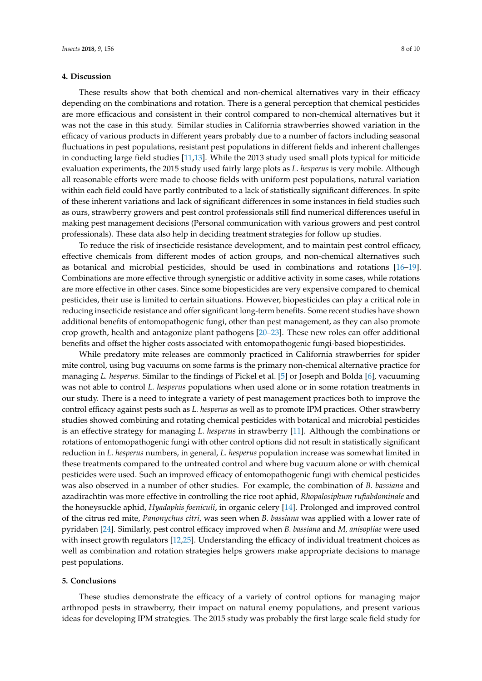## **4. Discussion**

These results show that both chemical and non-chemical alternatives vary in their efficacy depending on the combinations and rotation. There is a general perception that chemical pesticides are more efficacious and consistent in their control compared to non-chemical alternatives but it was not the case in this study. Similar studies in California strawberries showed variation in the efficacy of various products in different years probably due to a number of factors including seasonal fluctuations in pest populations, resistant pest populations in different fields and inherent challenges in conducting large field studies [\[11](#page-8-8)[,13\]](#page-8-10). While the 2013 study used small plots typical for miticide evaluation experiments, the 2015 study used fairly large plots as *L. hesperus* is very mobile. Although all reasonable efforts were made to choose fields with uniform pest populations, natural variation within each field could have partly contributed to a lack of statistically significant differences. In spite of these inherent variations and lack of significant differences in some instances in field studies such as ours, strawberry growers and pest control professionals still find numerical differences useful in making pest management decisions (Personal communication with various growers and pest control professionals). These data also help in deciding treatment strategies for follow up studies.

To reduce the risk of insecticide resistance development, and to maintain pest control efficacy, effective chemicals from different modes of action groups, and non-chemical alternatives such as botanical and microbial pesticides, should be used in combinations and rotations [\[16–](#page-9-0)[19\]](#page-9-1). Combinations are more effective through synergistic or additive activity in some cases, while rotations are more effective in other cases. Since some biopesticides are very expensive compared to chemical pesticides, their use is limited to certain situations. However, biopesticides can play a critical role in reducing insecticide resistance and offer significant long-term benefits. Some recent studies have shown additional benefits of entomopathogenic fungi, other than pest management, as they can also promote crop growth, health and antagonize plant pathogens [\[20–](#page-9-2)[23\]](#page-9-3). These new roles can offer additional benefits and offset the higher costs associated with entomopathogenic fungi-based biopesticides.

While predatory mite releases are commonly practiced in California strawberries for spider mite control, using bug vacuums on some farms is the primary non-chemical alternative practice for managing *L. hesperus*. Similar to the findings of Pickel et al. [\[5\]](#page-8-11) or Joseph and Bolda [\[6\]](#page-8-4), vacuuming was not able to control *L. hesperus* populations when used alone or in some rotation treatments in our study. There is a need to integrate a variety of pest management practices both to improve the control efficacy against pests such as *L. hesperus* as well as to promote IPM practices. Other strawberry studies showed combining and rotating chemical pesticides with botanical and microbial pesticides is an effective strategy for managing *L. hesperus* in strawberry [\[11\]](#page-8-8). Although the combinations or rotations of entomopathogenic fungi with other control options did not result in statistically significant reduction in *L. hesperus* numbers, in general, *L. hesperus* population increase was somewhat limited in these treatments compared to the untreated control and where bug vacuum alone or with chemical pesticides were used. Such an improved efficacy of entomopathogenic fungi with chemical pesticides was also observed in a number of other studies. For example, the combination of *B. bassiana* and azadirachtin was more effective in controlling the rice root aphid, *Rhopalosiphum rufiabdominale* and the honeysuckle aphid, *Hyadaphis foeniculi*, in organic celery [\[14\]](#page-8-12). Prolonged and improved control of the citrus red mite, *Panonychus citri,* was seen when *B. bassiana* was applied with a lower rate of pyridaben [\[24\]](#page-9-4). Similarly, pest control efficacy improved when *B. bassiana* and *M, anisopliae* were used with insect growth regulators [\[12,](#page-8-9)[25\]](#page-9-5). Understanding the efficacy of individual treatment choices as well as combination and rotation strategies helps growers make appropriate decisions to manage pest populations.

## **5. Conclusions**

These studies demonstrate the efficacy of a variety of control options for managing major arthropod pests in strawberry, their impact on natural enemy populations, and present various ideas for developing IPM strategies. The 2015 study was probably the first large scale field study for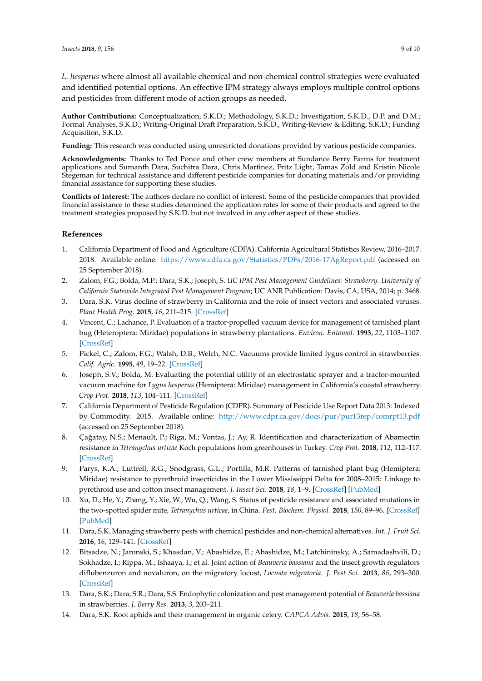*L. hesperus* where almost all available chemical and non-chemical control strategies were evaluated and identified potential options. An effective IPM strategy always employs multiple control options and pesticides from different mode of action groups as needed.

**Author Contributions:** Conceptualization, S.K.D.; Methodology, S.K.D.; Investigation, S.K.D., D.P. and D.M.; Formal Analyses, S.K.D.; Writing-Original Draft Preparation, S.K.D., Writing-Review & Editing, S.K.D.; Funding Acquisition, S.K.D.

**Funding:** This research was conducted using unrestricted donations provided by various pesticide companies.

**Acknowledgments:** Thanks to Ted Ponce and other crew members at Sundance Berry Farms for treatment applications and Sumanth Dara, Suchitra Dara, Chris Martinez, Fritz Light, Tamas Zold and Kristin Nicole Stegeman for technical assistance and different pesticide companies for donating materials and/or providing financial assistance for supporting these studies.

**Conflicts of Interest:** The authors declare no conflict of interest. Some of the pesticide companies that provided financial assistance to these studies determined the application rates for some of their products and agreed to the treatment strategies proposed by S.K.D. but not involved in any other aspect of these studies.

## **References**

- <span id="page-8-0"></span>1. California Department of Food and Agriculture (CDFA). California Agricultural Statistics Review, 2016–2017. 2018. Available online: <https://www.cdfa.ca.gov/Statistics/PDFs/2016-17AgReport.pdf> (accessed on 25 September 2018).
- <span id="page-8-1"></span>2. Zalom, F.G.; Bolda, M.P.; Dara, S.K.; Joseph, S. *UC IPM Pest Management Guidelines: Strawberry. University of California Statewide Integrated Pest Management Program*; UC ANR Publication: Davis, CA, USA, 2014; p. 3468.
- <span id="page-8-2"></span>3. Dara, S.K. Virus decline of strawberry in California and the role of insect vectors and associated viruses. *Plant Health Prog.* **2015**, *16*, 211–215. [\[CrossRef\]](http://dx.doi.org/10.1094/PHP-MR-15-0023)
- <span id="page-8-3"></span>4. Vincent, C.; Lachance, P. Evaluation of a tractor-propelled vacuum device for management of tarnished plant bug (Heteroptera: Miridae) populations in strawberry plantations. *Environ. Entomol.* **1993**, *22*, 1103–1107. [\[CrossRef\]](http://dx.doi.org/10.1093/ee/22.5.1103)
- <span id="page-8-11"></span>5. Pickel, C.; Zalom, F.G.; Walsh, D.B.; Welch, N.C. Vacuums provide limited lygus control in strawberries. *Calif. Agric.* **1995**, *49*, 19–22. [\[CrossRef\]](http://dx.doi.org/10.3733/ca.v049n02p19)
- <span id="page-8-4"></span>6. Joseph, S.V.; Bolda, M. Evaluating the potential utility of an electrostatic sprayer and a tractor-mounted vacuum machine for *Lygus hesperus* (Hemiptera: Miridae) management in California's coastal strawberry. *Crop Prot.* **2018**, *113*, 104–111. [\[CrossRef\]](http://dx.doi.org/10.1016/j.cropro.2018.08.005)
- <span id="page-8-5"></span>7. California Department of Pesticide Regulation (CDPR). Summary of Pesticide Use Report Data 2013: Indexed by Commodity. 2015. Available online: <http://www.cdpr.ca.gov/docs/pur/pur13rep/comrpt13.pdf> (accessed on 25 September 2018).
- <span id="page-8-6"></span>8. Çağatay, N.S.; Menault, P.; Riga, M.; Vontas, J.; Ay, R. Identification and characterization of Abamectin resistance in *Tetranychus urticae* Koch populations from greenhouses in Turkey. *Crop Prot.* **2018**, *112*, 112–117. [\[CrossRef\]](http://dx.doi.org/10.1016/j.cropro.2018.05.016)
- 9. Parys, K.A.; Luttrell, R.G.; Snodgrass, G.L.; Portilla, M.R. Patterns of tarnished plant bug (Hemiptera: Miridae) resistance to pyrethroid insecticides in the Lower Mississippi Delta for 2008–2015: Linkage to pyrethroid use and cotton insect management. *J. Insect Sci.* **2018**, *18*, 1–9. [\[CrossRef\]](http://dx.doi.org/10.1093/jisesa/iey015) [\[PubMed\]](http://www.ncbi.nlm.nih.gov/pubmed/29718490)
- <span id="page-8-7"></span>10. Xu, D.; He, Y.; Zhang, Y.; Xie, W.; Wu, Q.; Wang, S. Status of pesticide resistance and associated mutations in the two-spotted spider mite, *Tetranychus urticae*, in China. *Pest. Biochem. Physiol.* **2018**, *150*, 89–96. [\[CrossRef\]](http://dx.doi.org/10.1016/j.pestbp.2018.07.008) [\[PubMed\]](http://www.ncbi.nlm.nih.gov/pubmed/30195393)
- <span id="page-8-8"></span>11. Dara, S.K. Managing strawberry pests with chemical pesticides and non-chemical alternatives. *Int. J. Fruit Sci.* **2016**, *16*, 129–141. [\[CrossRef\]](http://dx.doi.org/10.1080/15538362.2016.1195311)
- <span id="page-8-9"></span>12. Bitsadze, N.; Jaronski, S.; Khasdan, V.; Abashidze, E.; Abashidze, M.; Latchininsky, A.; Samadashvili, D.; Sokhadze, I.; Rippa, M.; Ishaaya, I.; et al. Joint action of *Beauveria bassiana* and the insect growth regulators diflubenzuron and novaluron, on the migratory locust, *Locusta migratoria*. *J. Pest Sci.* **2013**, *86*, 293–300. [\[CrossRef\]](http://dx.doi.org/10.1007/s10340-012-0476-4)
- <span id="page-8-10"></span>13. Dara, S.K.; Dara, S.R.; Dara, S.S. Endophytic colonization and pest management potential of *Beauveria bassiana* in strawberries. *J. Berry Res.* **2013**, *3*, 203–211.
- <span id="page-8-12"></span>14. Dara, S.K. Root aphids and their management in organic celery. *CAPCA Advis.* **2015**, *18*, 56–58.